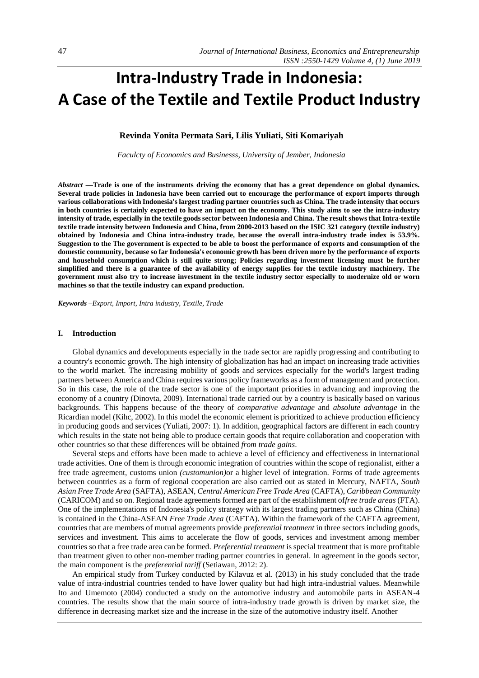# **Intra-Industry Trade in Indonesia: A Case of the Textile and Textile Product Industry**

# **Revinda Yonita Permata Sari, Lilis Yuliati, Siti Komariyah**

*Faculcty of Economics and Businesss, University of Jember, Indonesia*

*Abstract —***Trade is one of the instruments driving the economy that has a great dependence on global dynamics. Several trade policies in Indonesia have been carried out to encourage the performance of export imports through various collaborations with Indonesia's largest trading partner countries such as China. The trade intensity that occurs in both countries is certainly expected to have an impact on the economy. This study aims to see the intra-industry intensity of trade, especially in the textile goods sector between Indonesia and China. The result shows that Intra-textile textile trade intensity between Indonesia and China, from 2000-2013 based on the ISIC 321 category (textile industry) obtained by Indonesia and China intra-industry trade, because the overall intra-industry trade index is 53.9%. Suggestion to the The government is expected to be able to boost the performance of exports and consumption of the domestic community, because so far Indonesia's economic growth has been driven more by the performance of exports and household consumption which is still quite strong; Policies regarding investment licensing must be further simplified and there is a guarantee of the availability of energy supplies for the textile industry machinery. The government must also try to increase investment in the textile industry sector especially to modernize old or worn machines so that the textile industry can expand production.**

*Keywords –Export, Import, Intra industry, Textile, Trade*

#### **I. Introduction**

Global dynamics and developments especially in the trade sector are rapidly progressing and contributing to a country's economic growth. The high intensity of globalization has had an impact on increasing trade activities to the world market. The increasing mobility of goods and services especially for the world's largest trading partners between America and China requires various policy frameworks as a form of management and protection. So in this case, the role of the trade sector is one of the important priorities in advancing and improving the economy of a country (Dinovta, 2009). International trade carried out by a country is basically based on various backgrounds. This happens because of the theory of *comparative advantage* and *absolute advantage* in the Ricardian model (Kihc, 2002). In this model the economic element is prioritized to achieve production efficiency in producing goods and services (Yuliati, 2007: 1). In addition, geographical factors are different in each country which results in the state not being able to produce certain goods that require collaboration and cooperation with other countries so that these differences will be obtained *from trade gains*.

Several steps and efforts have been made to achieve a level of efficiency and effectiveness in international trade activities. One of them is through economic integration of countries within the scope of regionalist, either a free trade agreement, customs union *(customunion)*or a higher level of integration. Forms of trade agreements between countries as a form of regional cooperation are also carried out as stated in Mercury, NAFTA, *South Asian Free Trade Area* (SAFTA), ASEAN, *Central American Free Trade Area* (CAFTA), *Caribbean Community*  (CARICOM) and so on. Regional trade agreements formed are part of the establishment of*free trade areas* (FTA). One of the implementations of Indonesia's policy strategy with its largest trading partners such as China (China) is contained in the China-ASEAN *Free Trade Area* (CAFTA). Within the framework of the CAFTA agreement, countries that are members of mutual agreements provide *preferential treatment* in three sectors including goods, services and investment. This aims to accelerate the flow of goods, services and investment among member countries so that a free trade area can be formed. *Preferential treatment* is special treatment that is more profitable than treatment given to other non-member trading partner countries in general. In agreement in the goods sector, the main component is the *preferential tariff* (Setiawan, 2012: 2).

An empirical study from Turkey conducted by Kilavuz et al. (2013) in his study concluded that the trade value of intra-industrial countries tended to have lower quality but had high intra-industrial values. Meanwhile Ito and Umemoto (2004) conducted a study on the automotive industry and automobile parts in ASEAN-4 countries. The results show that the main source of intra-industry trade growth is driven by market size, the difference in decreasing market size and the increase in the size of the automotive industry itself. Another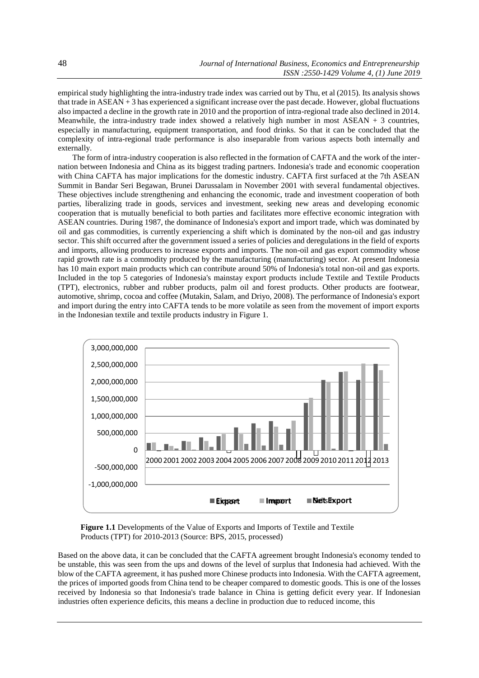empirical study highlighting the intra-industry trade index was carried out by Thu, et al (2015). Its analysis shows that trade in ASEAN + 3 has experienced a significant increase over the past decade. However, global fluctuations also impacted a decline in the growth rate in 2010 and the proportion of intra-regional trade also declined in 2014. Meanwhile, the intra-industry trade index showed a relatively high number in most  $ASEAN + 3$  countries, especially in manufacturing, equipment transportation, and food drinks. So that it can be concluded that the complexity of intra-regional trade performance is also inseparable from various aspects both internally and externally.

The form of intra-industry cooperation is also reflected in the formation of CAFTA and the work of the internation between Indonesia and China as its biggest trading partners. Indonesia's trade and economic cooperation with China CAFTA has major implications for the domestic industry. CAFTA first surfaced at the 7th ASEAN Summit in Bandar Seri Begawan, Brunei Darussalam in November 2001 with several fundamental objectives. These objectives include strengthening and enhancing the economic, trade and investment cooperation of both parties, liberalizing trade in goods, services and investment, seeking new areas and developing economic cooperation that is mutually beneficial to both parties and facilitates more effective economic integration with ASEAN countries. During 1987, the dominance of Indonesia's export and import trade, which was dominated by oil and gas commodities, is currently experiencing a shift which is dominated by the non-oil and gas industry sector. This shift occurred after the government issued a series of policies and deregulations in the field of exports and imports, allowing producers to increase exports and imports. The non-oil and gas export commodity whose rapid growth rate is a commodity produced by the manufacturing (manufacturing) sector. At present Indonesia has 10 main export main products which can contribute around 50% of Indonesia's total non-oil and gas exports. Included in the top 5 categories of Indonesia's mainstay export products include Textile and Textile Products (TPT), electronics, rubber and rubber products, palm oil and forest products. Other products are footwear, automotive, shrimp, cocoa and coffee (Mutakin, Salam, and Driyo, 2008). The performance of Indonesia's export and import during the entry into CAFTA tends to be more volatile as seen from the movement of import exports in the Indonesian textile and textile products industry in Figure 1.



**Figure 1.1** Developments of the Value of Exports and Imports of Textile and Textile Products (TPT) for 2010-2013 (Source: BPS, 2015, processed)

Based on the above data, it can be concluded that the CAFTA agreement brought Indonesia's economy tended to be unstable, this was seen from the ups and downs of the level of surplus that Indonesia had achieved. With the blow of the CAFTA agreement, it has pushed more Chinese products into Indonesia. With the CAFTA agreement, the prices of imported goods from China tend to be cheaper compared to domestic goods. This is one of the losses received by Indonesia so that Indonesia's trade balance in China is getting deficit every year. If Indonesian industries often experience deficits, this means a decline in production due to reduced income, this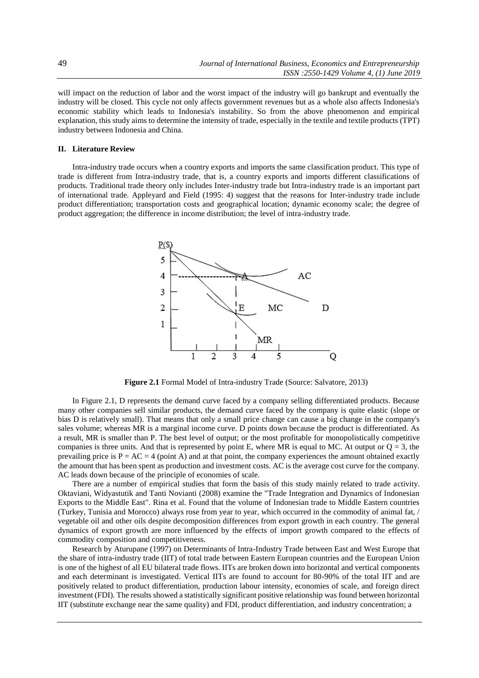will impact on the reduction of labor and the worst impact of the industry will go bankrupt and eventually the industry will be closed. This cycle not only affects government revenues but as a whole also affects Indonesia's economic stability which leads to Indonesia's instability. So from the above phenomenon and empirical explanation, this study aims to determine the intensity of trade, especially in the textile and textile products (TPT) industry between Indonesia and China.

#### **II. Literature Review**

Intra-industry trade occurs when a country exports and imports the same classification product. This type of trade is different from Intra-industry trade, that is, a country exports and imports different classifications of products. Traditional trade theory only includes Inter-industry trade but Intra-industry trade is an important part of international trade. Appleyard and Field (1995: 4) suggest that the reasons for Inter-industry trade include product differentiation; transportation costs and geographical location; dynamic economy scale; the degree of product aggregation; the difference in income distribution; the level of intra-industry trade.



**Figure 2.1** Formal Model of Intra-industry Trade (Source: Salvatore, 2013)

In Figure 2.1, D represents the demand curve faced by a company selling differentiated products. Because many other companies sell similar products, the demand curve faced by the company is quite elastic (slope or bias D is relatively small). That means that only a small price change can cause a big change in the company's sales volume; whereas MR is a marginal income curve. D points down because the product is differentiated. As a result, MR is smaller than P. The best level of output; or the most profitable for monopolistically competitive companies is three units. And that is represented by point E, where MR is equal to MC. At output or  $Q = 3$ , the prevailing price is  $P = AC = 4$  (point A) and at that point, the company experiences the amount obtained exactly the amount that has been spent as production and investment costs. AC is the average cost curve for the company. AC leads down because of the principle of economies of scale.

There are a number of empirical studies that form the basis of this study mainly related to trade activity. Oktaviani, Widyastutik and Tanti Novianti (2008) examine the "Trade Integration and Dynamics of Indonesian Exports to the Middle East". Rina et al. Found that the volume of Indonesian trade to Middle Eastern countries (Turkey, Tunisia and Morocco) always rose from year to year, which occurred in the commodity of animal fat, / vegetable oil and other oils despite decomposition differences from export growth in each country. The general dynamics of export growth are more influenced by the effects of import growth compared to the effects of commodity composition and competitiveness.

Research by Aturupane (1997) on Determinants of Intra-Industry Trade between East and West Europe that the share of intra-industry trade (IIT) of total trade between Eastern European countries and the European Union is one of the highest of all EU bilateral trade flows. IITs are broken down into horizontal and vertical components and each determinant is investigated. Vertical IITs are found to account for 80-90% of the total IIT and are positively related to product differentiation, production labour intensity, economies of scale, and foreign direct investment (FDI). The results showed a statistically significant positive relationship was found between horizontal IIT (substitute exchange near the same quality) and FDI, product differentiation, and industry concentration; a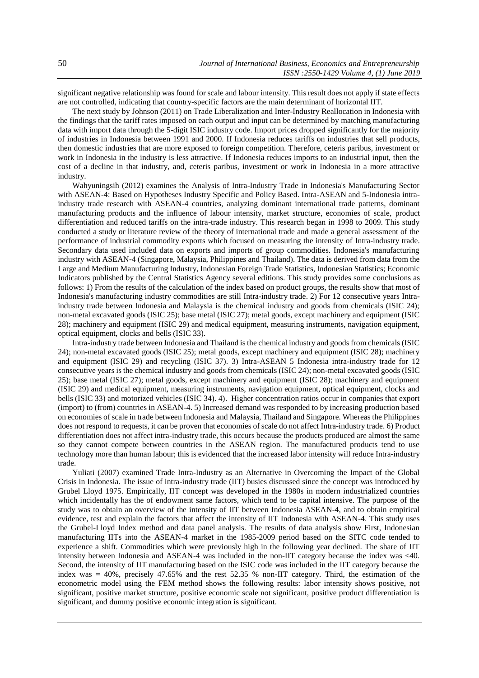significant negative relationship was found for scale and labour intensity. This result does not apply if state effects are not controlled, indicating that country-specific factors are the main determinant of horizontal IIT.

The next study by Johnson (2011) on Trade Liberalization and Inter-Industry Reallocation in Indonesia with the findings that the tariff rates imposed on each output and input can be determined by matching manufacturing data with import data through the 5-digit ISIC industry code. Import prices dropped significantly for the majority of industries in Indonesia between 1991 and 2000. If Indonesia reduces tariffs on industries that sell products, then domestic industries that are more exposed to foreign competition. Therefore, ceteris paribus, investment or work in Indonesia in the industry is less attractive. If Indonesia reduces imports to an industrial input, then the cost of a decline in that industry, and, ceteris paribus, investment or work in Indonesia in a more attractive industry.

Wahyuningsih (2012) examines the Analysis of Intra-Industry Trade in Indonesia's Manufacturing Sector with ASEAN-4: Based on Hypotheses Industry Specific and Policy Based. Intra-ASEAN and 5-Indonesia intraindustry trade research with ASEAN-4 countries, analyzing dominant international trade patterns, dominant manufacturing products and the influence of labour intensity, market structure, economies of scale, product differentiation and reduced tariffs on the intra-trade industry. This research began in 1998 to 2009. This study conducted a study or literature review of the theory of international trade and made a general assessment of the performance of industrial commodity exports which focused on measuring the intensity of Intra-industry trade. Secondary data used included data on exports and imports of group commodities. Indonesia's manufacturing industry with ASEAN-4 (Singapore, Malaysia, Philippines and Thailand). The data is derived from data from the Large and Medium Manufacturing Industry, Indonesian Foreign Trade Statistics, Indonesian Statistics; Economic Indicators published by the Central Statistics Agency several editions. This study provides some conclusions as follows: 1) From the results of the calculation of the index based on product groups, the results show that most of Indonesia's manufacturing industry commodities are still Intra-industry trade. 2) For 12 consecutive years Intraindustry trade between Indonesia and Malaysia is the chemical industry and goods from chemicals (ISIC 24); non-metal excavated goods (ISIC 25); base metal (ISIC 27); metal goods, except machinery and equipment (ISIC 28); machinery and equipment (ISIC 29) and medical equipment, measuring instruments, navigation equipment, optical equipment, clocks and bells (ISIC 33).

Intra-industry trade between Indonesia and Thailand is the chemical industry and goods from chemicals (ISIC 24); non-metal excavated goods (ISIC 25); metal goods, except machinery and equipment (ISIC 28); machinery and equipment (ISIC 29) and recycling (ISIC 37). 3) Intra-ASEAN 5 Indonesia intra-industry trade for 12 consecutive years is the chemical industry and goods from chemicals (ISIC 24); non-metal excavated goods (ISIC 25); base metal (ISIC 27); metal goods, except machinery and equipment (ISIC 28); machinery and equipment (ISIC 29) and medical equipment, measuring instruments, navigation equipment, optical equipment, clocks and bells (ISIC 33) and motorized vehicles (ISIC 34). 4). Higher concentration ratios occur in companies that export (import) to (from) countries in ASEAN-4. 5) Increased demand was responded to by increasing production based on economies of scale in trade between Indonesia and Malaysia, Thailand and Singapore. Whereas the Philippines does not respond to requests, it can be proven that economies of scale do not affect Intra-industry trade. 6) Product differentiation does not affect intra-industry trade, this occurs because the products produced are almost the same so they cannot compete between countries in the ASEAN region. The manufactured products tend to use technology more than human labour; this is evidenced that the increased labor intensity will reduce Intra-industry trade.

Yuliati (2007) examined Trade Intra-Industry as an Alternative in Overcoming the Impact of the Global Crisis in Indonesia. The issue of intra-industry trade (IIT) busies discussed since the concept was introduced by Grubel Lloyd 1975. Empirically, IIT concept was developed in the 1980s in modern industrialized countries which incidentally has the of endowment same factors, which tend to be capital intensive. The purpose of the study was to obtain an overview of the intensity of IIT between Indonesia ASEAN-4, and to obtain empirical evidence, test and explain the factors that affect the intensity of IIT Indonesia with ASEAN-4. This study uses the Grubel-Lloyd Index method and data panel analysis. The results of data analysis show First, Indonesian manufacturing IITs into the ASEAN-4 market in the 1985-2009 period based on the SITC code tended to experience a shift. Commodities which were previously high in the following year declined. The share of IIT intensity between Indonesia and ASEAN-4 was included in the non-IIT category because the index was <40. Second, the intensity of IIT manufacturing based on the ISIC code was included in the IIT category because the index was = 40%, precisely 47.65% and the rest 52.35 % non-IIT category. Third, the estimation of the econometric model using the FEM method shows the following results: labor intensity shows positive, not significant, positive market structure, positive economic scale not significant, positive product differentiation is significant, and dummy positive economic integration is significant.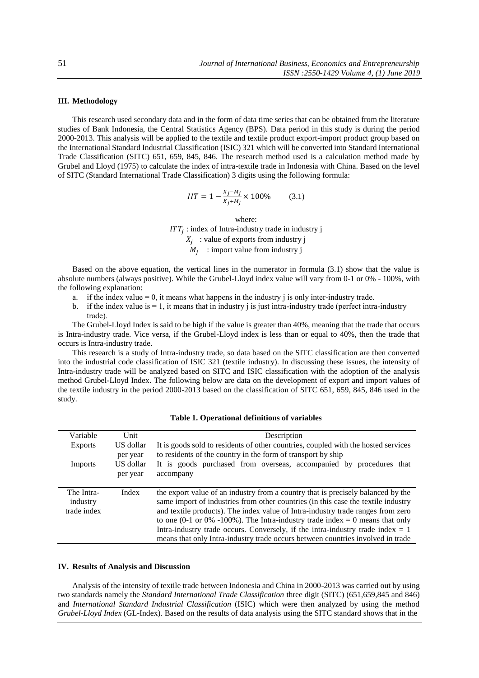## **III. Methodology**

This research used secondary data and in the form of data time series that can be obtained from the literature studies of Bank Indonesia, the Central Statistics Agency (BPS). Data period in this study is during the period 2000-2013. This analysis will be applied to the textile and textile product export-import product group based on the International Standard Industrial Classification (ISIC) 321 which will be converted into Standard International Trade Classification (SITC) 651, 659, 845, 846. The research method used is a calculation method made by Grubel and Lloyd (1975) to calculate the index of intra-textile trade in Indonesia with China. Based on the level of SITC (Standard International Trade Classification) 3 digits using the following formula:

$$
IIT = 1 - \frac{x_j - m_j}{x_j + m_j} \times 100\% \tag{3.1}
$$

where:  $ITT_j$ : index of Intra-industry trade in industry j  $X_j$ : value of exports from industry j  $M_j$ : import value from industry j

Based on the above equation, the vertical lines in the numerator in formula (3.1) show that the value is absolute numbers (always positive). While the Grubel-Lloyd index value will vary from 0-1 or 0% - 100%, with the following explanation:

- a. if the index value  $= 0$ , it means what happens in the industry j is only inter-industry trade.
- b. if the index value is  $= 1$ , it means that in industry j is just intra-industry trade (perfect intra-industry trade).

The Grubel-Lloyd Index is said to be high if the value is greater than 40%, meaning that the trade that occurs is Intra-industry trade. Vice versa, if the Grubel-Lloyd index is less than or equal to 40%, then the trade that occurs is Intra-industry trade.

This research is a study of Intra-industry trade, so data based on the SITC classification are then converted into the industrial code classification of ISIC 321 (textile industry). In discussing these issues, the intensity of Intra-industry trade will be analyzed based on SITC and ISIC classification with the adoption of the analysis method Grubel-Lloyd Index. The following below are data on the development of export and import values of the textile industry in the period 2000-2013 based on the classification of SITC 651, 659, 845, 846 used in the study.

| Variable                              | Unit      | Description                                                                                                                                                                                                                                                                                                                                                                                                                                                                                                     |  |  |
|---------------------------------------|-----------|-----------------------------------------------------------------------------------------------------------------------------------------------------------------------------------------------------------------------------------------------------------------------------------------------------------------------------------------------------------------------------------------------------------------------------------------------------------------------------------------------------------------|--|--|
| <b>Exports</b>                        | US dollar | It is goods sold to residents of other countries, coupled with the hosted services                                                                                                                                                                                                                                                                                                                                                                                                                              |  |  |
|                                       | per year  | to residents of the country in the form of transport by ship                                                                                                                                                                                                                                                                                                                                                                                                                                                    |  |  |
| Imports                               | US dollar | It is goods purchased from overseas, accompanied by procedures that                                                                                                                                                                                                                                                                                                                                                                                                                                             |  |  |
|                                       | per year  | accompany                                                                                                                                                                                                                                                                                                                                                                                                                                                                                                       |  |  |
|                                       |           |                                                                                                                                                                                                                                                                                                                                                                                                                                                                                                                 |  |  |
| The Intra-<br>industry<br>trade index | Index     | the export value of an industry from a country that is precisely balanced by the<br>same import of industries from other countries (in this case the textile industry<br>and textile products). The index value of Intra-industry trade ranges from zero<br>to one (0-1 or 0% -100%). The Intra-industry trade index = 0 means that only<br>Intra-industry trade occurs. Conversely, if the intra-industry trade index $= 1$<br>means that only Intra-industry trade occurs between countries involved in trade |  |  |

# **Table 1. Operational definitions of variables**

## **IV. Results of Analysis and Discussion**

Analysis of the intensity of textile trade between Indonesia and China in 2000-2013 was carried out by using two standards namely the *Standard International Trade Classification* three digit (SITC) (651,659,845 and 846) and *International Standard Industrial Classification* (ISIC) which were then analyzed by using the method *Grubel-Lloyd Index* (GL-Index)*.* Based on the results of data analysis using the SITC standard shows that in the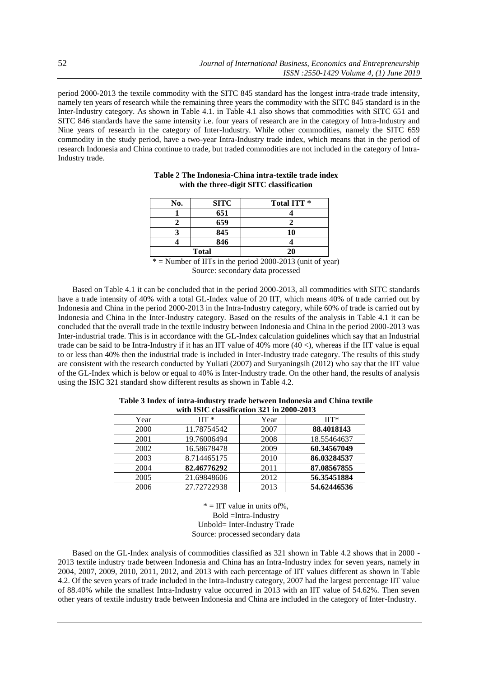period 2000-2013 the textile commodity with the SITC 845 standard has the longest intra-trade trade intensity, namely ten years of research while the remaining three years the commodity with the SITC 845 standard is in the Inter-Industry category. As shown in Table 4.1. in Table 4.1 also shows that commodities with SITC 651 and SITC 846 standards have the same intensity i.e. four years of research are in the category of Intra-Industry and Nine years of research in the category of Inter-Industry. While other commodities, namely the SITC 659 commodity in the study period, have a two-year Intra-Industry trade index, which means that in the period of research Indonesia and China continue to trade, but traded commodities are not included in the category of Intra-Industry trade.

| No.                     | <b>SITC</b>                                                                                                                        | Total ITT <sup>*</sup>                                                                                         |
|-------------------------|------------------------------------------------------------------------------------------------------------------------------------|----------------------------------------------------------------------------------------------------------------|
|                         | 651                                                                                                                                |                                                                                                                |
|                         | 659                                                                                                                                |                                                                                                                |
|                         | 845                                                                                                                                | 10                                                                                                             |
|                         | 846                                                                                                                                |                                                                                                                |
|                         | <b>Total</b>                                                                                                                       | 20                                                                                                             |
| the control of the con- | the contract of the contract of the contract of the contract of the contract of<br>the contract of the contract of the contract of | the state of the control of<br>the contract of the contract of the contract of the contract of the contract of |

## **Table 2 The Indonesia-China intra-textile trade index with the three-digit SITC classification**

 $*$  = Number of IITs in the period 2000-2013 (unit of year) Source: secondary data processed

Based on Table 4.1 it can be concluded that in the period 2000-2013, all commodities with SITC standards have a trade intensity of 40% with a total GL-Index value of 20 IIT, which means 40% of trade carried out by Indonesia and China in the period 2000-2013 in the Intra-Industry category, while 60% of trade is carried out by Indonesia and China in the Inter-Industry category. Based on the results of the analysis in Table 4.1 it can be concluded that the overall trade in the textile industry between Indonesia and China in the period 2000-2013 was Inter-industrial trade. This is in accordance with the GL-Index calculation guidelines which say that an Industrial trade can be said to be Intra-Industry if it has an IIT value of 40% more (40 <), whereas if the IIT value is equal to or less than 40% then the industrial trade is included in Inter-Industry trade category. The results of this study are consistent with the research conducted by Yuliati (2007) and Suryaningsih (2012) who say that the IIT value of the GL-Index which is below or equal to 40% is Inter-Industry trade. On the other hand, the results of analysis using the ISIC 321 standard show different results as shown in Table 4.2.

| мин тэте сказынсайдн эдт нг дооо-дотэ |                    |      |                    |  |  |
|---------------------------------------|--------------------|------|--------------------|--|--|
| Year                                  | $\Pi$ <sup>*</sup> | Year | $\Pi$ <sup>*</sup> |  |  |
| 2000                                  | 11.78754542        | 2007 | 88.4018143         |  |  |
| 2001                                  | 19.76006494        | 2008 | 18.55464637        |  |  |
| 2002                                  | 16.58678478        | 2009 | 60.34567049        |  |  |
| 2003                                  | 8.714465175        | 2010 | 86.03284537        |  |  |
| 2004                                  | 82.46776292        | 2011 | 87.08567855        |  |  |
| 2005                                  | 21.69848606        | 2012 | 56.35451884        |  |  |
| 2006                                  | 27.72722938        | 2013 | 54.62446536        |  |  |

**Table 3 Index of intra-industry trade between Indonesia and China textile with ISIC classification 321 in 2000-2013**

 $* = IIT$  value in units of%, Bold =Intra-Industry Unbold= Inter-Industry Trade Source: processed secondary data

Based on the GL-Index analysis of commodities classified as 321 shown in Table 4.2 shows that in 2000 - 2013 textile industry trade between Indonesia and China has an Intra-Industry index for seven years, namely in 2004, 2007, 2009, 2010, 2011, 2012, and 2013 with each percentage of IIT values different as shown in Table 4.2. Of the seven years of trade included in the Intra-Industry category, 2007 had the largest percentage IIT value of 88.40% while the smallest Intra-Industry value occurred in 2013 with an IIT value of 54.62%. Then seven other years of textile industry trade between Indonesia and China are included in the category of Inter-Industry.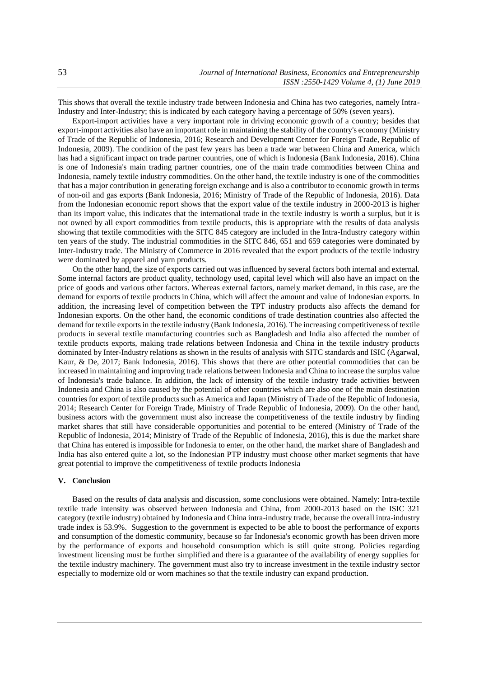This shows that overall the textile industry trade between Indonesia and China has two categories, namely Intra-Industry and Inter-Industry; this is indicated by each category having a percentage of 50% (seven years).

Export-import activities have a very important role in driving economic growth of a country; besides that export-import activities also have an important role in maintaining the stability of the country's economy (Ministry of Trade of the Republic of Indonesia, 2016; Research and Development Center for Foreign Trade, Republic of Indonesia, 2009). The condition of the past few years has been a trade war between China and America, which has had a significant impact on trade partner countries, one of which is Indonesia (Bank Indonesia, 2016). China is one of Indonesia's main trading partner countries, one of the main trade commodities between China and Indonesia, namely textile industry commodities. On the other hand, the textile industry is one of the commodities that has a major contribution in generating foreign exchange and is also a contributor to economic growth in terms of non-oil and gas exports (Bank Indonesia, 2016; Ministry of Trade of the Republic of Indonesia, 2016). Data from the Indonesian economic report shows that the export value of the textile industry in 2000-2013 is higher than its import value, this indicates that the international trade in the textile industry is worth a surplus, but it is not owned by all export commodities from textile products, this is appropriate with the results of data analysis showing that textile commodities with the SITC 845 category are included in the Intra-Industry category within ten years of the study. The industrial commodities in the SITC 846, 651 and 659 categories were dominated by Inter-Industry trade. The Ministry of Commerce in 2016 revealed that the export products of the textile industry were dominated by apparel and yarn products.

On the other hand, the size of exports carried out was influenced by several factors both internal and external. Some internal factors are product quality, technology used, capital level which will also have an impact on the price of goods and various other factors. Whereas external factors, namely market demand, in this case, are the demand for exports of textile products in China, which will affect the amount and value of Indonesian exports. In addition, the increasing level of competition between the TPT industry products also affects the demand for Indonesian exports. On the other hand, the economic conditions of trade destination countries also affected the demand for textile exports in the textile industry (Bank Indonesia, 2016). The increasing competitiveness of textile products in several textile manufacturing countries such as Bangladesh and India also affected the number of textile products exports, making trade relations between Indonesia and China in the textile industry products dominated by Inter-Industry relations as shown in the results of analysis with SITC standards and ISIC (Agarwal, Kaur, & De, 2017; Bank Indonesia, 2016). This shows that there are other potential commodities that can be increased in maintaining and improving trade relations between Indonesia and China to increase the surplus value of Indonesia's trade balance. In addition, the lack of intensity of the textile industry trade activities between Indonesia and China is also caused by the potential of other countries which are also one of the main destination countries for export of textile products such as America and Japan (Ministry of Trade of the Republic of Indonesia, 2014; Research Center for Foreign Trade, Ministry of Trade Republic of Indonesia, 2009). On the other hand, business actors with the government must also increase the competitiveness of the textile industry by finding market shares that still have considerable opportunities and potential to be entered (Ministry of Trade of the Republic of Indonesia, 2014; Ministry of Trade of the Republic of Indonesia, 2016), this is due the market share that China has entered is impossible for Indonesia to enter, on the other hand, the market share of Bangladesh and India has also entered quite a lot, so the Indonesian PTP industry must choose other market segments that have great potential to improve the competitiveness of textile products Indonesia

## **V. Conclusion**

Based on the results of data analysis and discussion, some conclusions were obtained. Namely: Intra-textile textile trade intensity was observed between Indonesia and China, from 2000-2013 based on the ISIC 321 category (textile industry) obtained by Indonesia and China intra-industry trade, because the overall intra-industry trade index is 53.9%. Suggestion to the government is expected to be able to boost the performance of exports and consumption of the domestic community, because so far Indonesia's economic growth has been driven more by the performance of exports and household consumption which is still quite strong. Policies regarding investment licensing must be further simplified and there is a guarantee of the availability of energy supplies for the textile industry machinery. The government must also try to increase investment in the textile industry sector especially to modernize old or worn machines so that the textile industry can expand production.